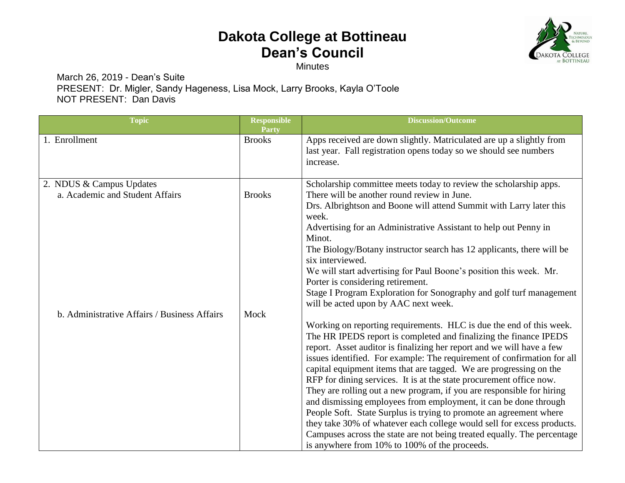## **Dakota College at Bottineau Dean's Council**

**Minutes** 

**NOLOG** DAKOTA COLLEGE **BOTTINEAU** 

March 26, 2019 - Dean's Suite PRESENT:Dr. Migler, Sandy Hageness, Lisa Mock, Larry Brooks, Kayla O'Toole NOT PRESENT: Dan Davis

| <b>Topic</b>                                                                    | <b>Responsible</b><br>Party | <b>Discussion/Outcome</b>                                                                                                                                                                                                                                                                                                                                                                                                                                                                                                                                                                                                                                                                                                                                                                                                                                          |
|---------------------------------------------------------------------------------|-----------------------------|--------------------------------------------------------------------------------------------------------------------------------------------------------------------------------------------------------------------------------------------------------------------------------------------------------------------------------------------------------------------------------------------------------------------------------------------------------------------------------------------------------------------------------------------------------------------------------------------------------------------------------------------------------------------------------------------------------------------------------------------------------------------------------------------------------------------------------------------------------------------|
| 1. Enrollment                                                                   | <b>Brooks</b>               | Apps received are down slightly. Matriculated are up a slightly from<br>last year. Fall registration opens today so we should see numbers<br>increase.                                                                                                                                                                                                                                                                                                                                                                                                                                                                                                                                                                                                                                                                                                             |
| 2. NDUS & Campus Updates                                                        |                             | Scholarship committee meets today to review the scholarship apps.                                                                                                                                                                                                                                                                                                                                                                                                                                                                                                                                                                                                                                                                                                                                                                                                  |
| a. Academic and Student Affairs<br>b. Administrative Affairs / Business Affairs | <b>Brooks</b><br>Mock       | There will be another round review in June.<br>Drs. Albrightson and Boone will attend Summit with Larry later this<br>week.<br>Advertising for an Administrative Assistant to help out Penny in<br>Minot.<br>The Biology/Botany instructor search has 12 applicants, there will be<br>six interviewed.<br>We will start advertising for Paul Boone's position this week. Mr.<br>Porter is considering retirement.<br>Stage I Program Exploration for Sonography and golf turf management<br>will be acted upon by AAC next week.                                                                                                                                                                                                                                                                                                                                   |
|                                                                                 |                             | Working on reporting requirements. HLC is due the end of this week.<br>The HR IPEDS report is completed and finalizing the finance IPEDS<br>report. Asset auditor is finalizing her report and we will have a few<br>issues identified. For example: The requirement of confirmation for all<br>capital equipment items that are tagged. We are progressing on the<br>RFP for dining services. It is at the state procurement office now.<br>They are rolling out a new program, if you are responsible for hiring<br>and dismissing employees from employment, it can be done through<br>People Soft. State Surplus is trying to promote an agreement where<br>they take 30% of whatever each college would sell for excess products.<br>Campuses across the state are not being treated equally. The percentage<br>is anywhere from 10% to 100% of the proceeds. |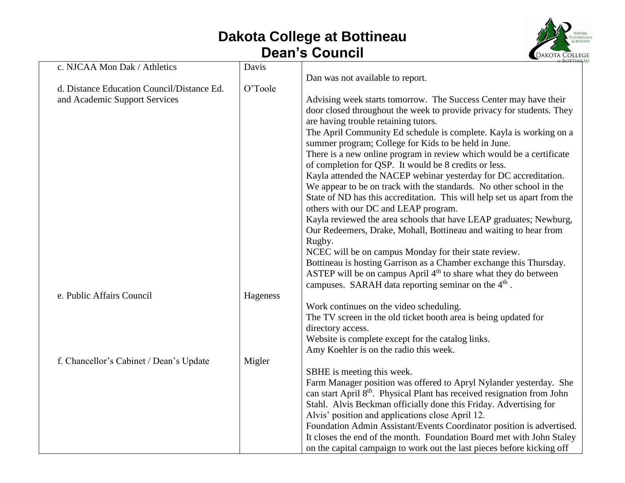## **Dakota College at Bottineau Dean's Council**



| c. NJCAA Mon Dak / Athletics               | Davis    |                                                                                     |
|--------------------------------------------|----------|-------------------------------------------------------------------------------------|
|                                            |          | Dan was not available to report.                                                    |
| d. Distance Education Council/Distance Ed. | O'Toole  |                                                                                     |
| and Academic Support Services              |          | Advising week starts tomorrow. The Success Center may have their                    |
|                                            |          | door closed throughout the week to provide privacy for students. They               |
|                                            |          | are having trouble retaining tutors.                                                |
|                                            |          | The April Community Ed schedule is complete. Kayla is working on a                  |
|                                            |          | summer program; College for Kids to be held in June.                                |
|                                            |          | There is a new online program in review which would be a certificate                |
|                                            |          | of completion for QSP. It would be 8 credits or less.                               |
|                                            |          | Kayla attended the NACEP webinar yesterday for DC accreditation.                    |
|                                            |          | We appear to be on track with the standards. No other school in the                 |
|                                            |          | State of ND has this accreditation. This will help set us apart from the            |
|                                            |          | others with our DC and LEAP program.                                                |
|                                            |          | Kayla reviewed the area schools that have LEAP graduates; Newburg,                  |
|                                            |          | Our Redeemers, Drake, Mohall, Bottineau and waiting to hear from                    |
|                                            |          | Rugby.                                                                              |
|                                            |          | NCEC will be on campus Monday for their state review.                               |
|                                            |          | Bottineau is hosting Garrison as a Chamber exchange this Thursday.                  |
|                                            |          | ASTEP will be on campus April 4 <sup>th</sup> to share what they do between         |
|                                            |          | campuses. SARAH data reporting seminar on the 4 <sup>th</sup> .                     |
| e. Public Affairs Council                  | Hageness |                                                                                     |
|                                            |          | Work continues on the video scheduling.                                             |
|                                            |          | The TV screen in the old ticket booth area is being updated for                     |
|                                            |          | directory access.                                                                   |
|                                            |          | Website is complete except for the catalog links.                                   |
|                                            |          | Amy Koehler is on the radio this week.                                              |
| f. Chancellor's Cabinet / Dean's Update    | Migler   |                                                                                     |
|                                            |          | SBHE is meeting this week.                                                          |
|                                            |          | Farm Manager position was offered to Apryl Nylander yesterday. She                  |
|                                            |          | can start April 8 <sup>th</sup> . Physical Plant has received resignation from John |
|                                            |          | Stahl. Alvis Beckman officially done this Friday. Advertising for                   |
|                                            |          | Alvis' position and applications close April 12.                                    |
|                                            |          | Foundation Admin Assistant/Events Coordinator position is advertised.               |
|                                            |          | It closes the end of the month. Foundation Board met with John Staley               |
|                                            |          | on the capital campaign to work out the last pieces before kicking off              |